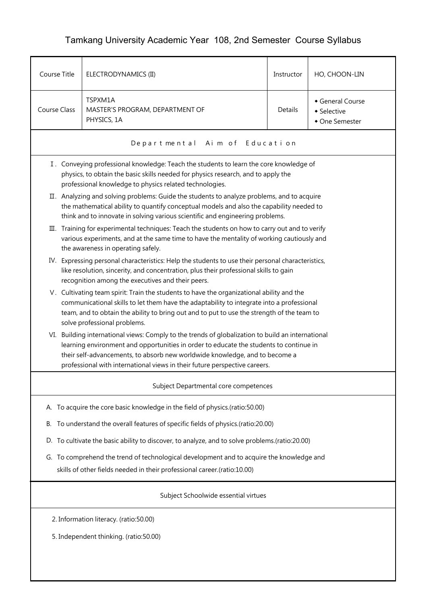## Tamkang University Academic Year 108, 2nd Semester Course Syllabus

| Course Title                                                                     | ELECTRODYNAMICS (II)                                                                                                                                                                                                                                                                                                                                     | Instructor | HO, CHOON-LIN                                   |  |  |  |
|----------------------------------------------------------------------------------|----------------------------------------------------------------------------------------------------------------------------------------------------------------------------------------------------------------------------------------------------------------------------------------------------------------------------------------------------------|------------|-------------------------------------------------|--|--|--|
| Course Class                                                                     | TSPXM1A<br>MASTER'S PROGRAM, DEPARTMENT OF<br>PHYSICS, 1A                                                                                                                                                                                                                                                                                                | Details    | General Course<br>• Selective<br>• One Semester |  |  |  |
|                                                                                  | Departmental Aim of Education                                                                                                                                                                                                                                                                                                                            |            |                                                 |  |  |  |
|                                                                                  | I. Conveying professional knowledge: Teach the students to learn the core knowledge of<br>physics, to obtain the basic skills needed for physics research, and to apply the<br>professional knowledge to physics related technologies.                                                                                                                   |            |                                                 |  |  |  |
|                                                                                  | II. Analyzing and solving problems: Guide the students to analyze problems, and to acquire<br>the mathematical ability to quantify conceptual models and also the capability needed to<br>think and to innovate in solving various scientific and engineering problems.                                                                                  |            |                                                 |  |  |  |
|                                                                                  | III. Training for experimental techniques: Teach the students on how to carry out and to verify<br>various experiments, and at the same time to have the mentality of working cautiously and<br>the awareness in operating safely.                                                                                                                       |            |                                                 |  |  |  |
|                                                                                  | IV. Expressing personal characteristics: Help the students to use their personal characteristics,<br>like resolution, sincerity, and concentration, plus their professional skills to gain<br>recognition among the executives and their peers.                                                                                                          |            |                                                 |  |  |  |
|                                                                                  | V. Cultivating team spirit: Train the students to have the organizational ability and the<br>communicational skills to let them have the adaptability to integrate into a professional<br>team, and to obtain the ability to bring out and to put to use the strength of the team to<br>solve professional problems.                                     |            |                                                 |  |  |  |
|                                                                                  | VI. Building international views: Comply to the trends of globalization to build an international<br>learning environment and opportunities in order to educate the students to continue in<br>their self-advancements, to absorb new worldwide knowledge, and to become a<br>professional with international views in their future perspective careers. |            |                                                 |  |  |  |
|                                                                                  | Subject Departmental core competences                                                                                                                                                                                                                                                                                                                    |            |                                                 |  |  |  |
|                                                                                  | A. To acquire the core basic knowledge in the field of physics.(ratio:50.00)                                                                                                                                                                                                                                                                             |            |                                                 |  |  |  |
| В.                                                                               | To understand the overall features of specific fields of physics.(ratio:20.00)                                                                                                                                                                                                                                                                           |            |                                                 |  |  |  |
|                                                                                  | D. To cultivate the basic ability to discover, to analyze, and to solve problems.(ratio:20.00)                                                                                                                                                                                                                                                           |            |                                                 |  |  |  |
|                                                                                  | G. To comprehend the trend of technological development and to acquire the knowledge and<br>skills of other fields needed in their professional career.(ratio:10.00)                                                                                                                                                                                     |            |                                                 |  |  |  |
| Subject Schoolwide essential virtues                                             |                                                                                                                                                                                                                                                                                                                                                          |            |                                                 |  |  |  |
| 2. Information literacy. (ratio:50.00)<br>5. Independent thinking. (ratio:50.00) |                                                                                                                                                                                                                                                                                                                                                          |            |                                                 |  |  |  |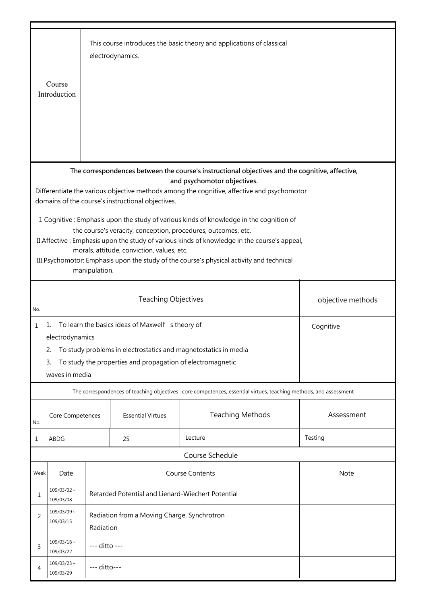|        |                                                                                                                                                                                                                                                                                                                                                                                                                                                                                                                                                                                                                                                                                                                                                                                                                                                                                                                                                                                                                                                                                                                                                                                                            |               | electrodynamics. | This course introduces the basic theory and applications of classical                           |         |  |
|--------|------------------------------------------------------------------------------------------------------------------------------------------------------------------------------------------------------------------------------------------------------------------------------------------------------------------------------------------------------------------------------------------------------------------------------------------------------------------------------------------------------------------------------------------------------------------------------------------------------------------------------------------------------------------------------------------------------------------------------------------------------------------------------------------------------------------------------------------------------------------------------------------------------------------------------------------------------------------------------------------------------------------------------------------------------------------------------------------------------------------------------------------------------------------------------------------------------------|---------------|------------------|-------------------------------------------------------------------------------------------------|---------|--|
|        | Course                                                                                                                                                                                                                                                                                                                                                                                                                                                                                                                                                                                                                                                                                                                                                                                                                                                                                                                                                                                                                                                                                                                                                                                                     |               |                  |                                                                                                 |         |  |
|        | Introduction                                                                                                                                                                                                                                                                                                                                                                                                                                                                                                                                                                                                                                                                                                                                                                                                                                                                                                                                                                                                                                                                                                                                                                                               |               |                  |                                                                                                 |         |  |
|        |                                                                                                                                                                                                                                                                                                                                                                                                                                                                                                                                                                                                                                                                                                                                                                                                                                                                                                                                                                                                                                                                                                                                                                                                            |               |                  |                                                                                                 |         |  |
|        |                                                                                                                                                                                                                                                                                                                                                                                                                                                                                                                                                                                                                                                                                                                                                                                                                                                                                                                                                                                                                                                                                                                                                                                                            |               |                  |                                                                                                 |         |  |
|        |                                                                                                                                                                                                                                                                                                                                                                                                                                                                                                                                                                                                                                                                                                                                                                                                                                                                                                                                                                                                                                                                                                                                                                                                            |               |                  |                                                                                                 |         |  |
|        |                                                                                                                                                                                                                                                                                                                                                                                                                                                                                                                                                                                                                                                                                                                                                                                                                                                                                                                                                                                                                                                                                                                                                                                                            |               |                  |                                                                                                 |         |  |
|        |                                                                                                                                                                                                                                                                                                                                                                                                                                                                                                                                                                                                                                                                                                                                                                                                                                                                                                                                                                                                                                                                                                                                                                                                            |               |                  |                                                                                                 |         |  |
|        |                                                                                                                                                                                                                                                                                                                                                                                                                                                                                                                                                                                                                                                                                                                                                                                                                                                                                                                                                                                                                                                                                                                                                                                                            |               |                  | The correspondences between the course's instructional objectives and the cognitive, affective, |         |  |
|        |                                                                                                                                                                                                                                                                                                                                                                                                                                                                                                                                                                                                                                                                                                                                                                                                                                                                                                                                                                                                                                                                                                                                                                                                            |               |                  | and psychomotor objectives.                                                                     |         |  |
|        |                                                                                                                                                                                                                                                                                                                                                                                                                                                                                                                                                                                                                                                                                                                                                                                                                                                                                                                                                                                                                                                                                                                                                                                                            |               |                  | Differentiate the various objective methods among the cognitive, affective and psychomotor      |         |  |
|        |                                                                                                                                                                                                                                                                                                                                                                                                                                                                                                                                                                                                                                                                                                                                                                                                                                                                                                                                                                                                                                                                                                                                                                                                            |               |                  |                                                                                                 |         |  |
|        |                                                                                                                                                                                                                                                                                                                                                                                                                                                                                                                                                                                                                                                                                                                                                                                                                                                                                                                                                                                                                                                                                                                                                                                                            |               |                  |                                                                                                 |         |  |
|        |                                                                                                                                                                                                                                                                                                                                                                                                                                                                                                                                                                                                                                                                                                                                                                                                                                                                                                                                                                                                                                                                                                                                                                                                            |               |                  |                                                                                                 |         |  |
|        |                                                                                                                                                                                                                                                                                                                                                                                                                                                                                                                                                                                                                                                                                                                                                                                                                                                                                                                                                                                                                                                                                                                                                                                                            |               |                  |                                                                                                 |         |  |
|        |                                                                                                                                                                                                                                                                                                                                                                                                                                                                                                                                                                                                                                                                                                                                                                                                                                                                                                                                                                                                                                                                                                                                                                                                            |               |                  |                                                                                                 |         |  |
|        |                                                                                                                                                                                                                                                                                                                                                                                                                                                                                                                                                                                                                                                                                                                                                                                                                                                                                                                                                                                                                                                                                                                                                                                                            |               |                  |                                                                                                 |         |  |
|        |                                                                                                                                                                                                                                                                                                                                                                                                                                                                                                                                                                                                                                                                                                                                                                                                                                                                                                                                                                                                                                                                                                                                                                                                            |               |                  |                                                                                                 |         |  |
|        |                                                                                                                                                                                                                                                                                                                                                                                                                                                                                                                                                                                                                                                                                                                                                                                                                                                                                                                                                                                                                                                                                                                                                                                                            |               |                  |                                                                                                 |         |  |
|        |                                                                                                                                                                                                                                                                                                                                                                                                                                                                                                                                                                                                                                                                                                                                                                                                                                                                                                                                                                                                                                                                                                                                                                                                            |               |                  |                                                                                                 |         |  |
| No.    |                                                                                                                                                                                                                                                                                                                                                                                                                                                                                                                                                                                                                                                                                                                                                                                                                                                                                                                                                                                                                                                                                                                                                                                                            |               |                  |                                                                                                 |         |  |
| 1      |                                                                                                                                                                                                                                                                                                                                                                                                                                                                                                                                                                                                                                                                                                                                                                                                                                                                                                                                                                                                                                                                                                                                                                                                            | Cognitive     |                  |                                                                                                 |         |  |
|        |                                                                                                                                                                                                                                                                                                                                                                                                                                                                                                                                                                                                                                                                                                                                                                                                                                                                                                                                                                                                                                                                                                                                                                                                            |               |                  |                                                                                                 |         |  |
|        |                                                                                                                                                                                                                                                                                                                                                                                                                                                                                                                                                                                                                                                                                                                                                                                                                                                                                                                                                                                                                                                                                                                                                                                                            |               |                  |                                                                                                 |         |  |
|        |                                                                                                                                                                                                                                                                                                                                                                                                                                                                                                                                                                                                                                                                                                                                                                                                                                                                                                                                                                                                                                                                                                                                                                                                            |               |                  |                                                                                                 |         |  |
|        |                                                                                                                                                                                                                                                                                                                                                                                                                                                                                                                                                                                                                                                                                                                                                                                                                                                                                                                                                                                                                                                                                                                                                                                                            |               |                  |                                                                                                 |         |  |
|        |                                                                                                                                                                                                                                                                                                                                                                                                                                                                                                                                                                                                                                                                                                                                                                                                                                                                                                                                                                                                                                                                                                                                                                                                            |               |                  |                                                                                                 |         |  |
|        |                                                                                                                                                                                                                                                                                                                                                                                                                                                                                                                                                                                                                                                                                                                                                                                                                                                                                                                                                                                                                                                                                                                                                                                                            |               |                  |                                                                                                 |         |  |
|        |                                                                                                                                                                                                                                                                                                                                                                                                                                                                                                                                                                                                                                                                                                                                                                                                                                                                                                                                                                                                                                                                                                                                                                                                            |               |                  |                                                                                                 |         |  |
| No.    |                                                                                                                                                                                                                                                                                                                                                                                                                                                                                                                                                                                                                                                                                                                                                                                                                                                                                                                                                                                                                                                                                                                                                                                                            |               |                  |                                                                                                 |         |  |
| 1      | ABDG                                                                                                                                                                                                                                                                                                                                                                                                                                                                                                                                                                                                                                                                                                                                                                                                                                                                                                                                                                                                                                                                                                                                                                                                       |               | 25               | Lecture                                                                                         | Testing |  |
|        |                                                                                                                                                                                                                                                                                                                                                                                                                                                                                                                                                                                                                                                                                                                                                                                                                                                                                                                                                                                                                                                                                                                                                                                                            |               |                  | Course Schedule                                                                                 |         |  |
|        |                                                                                                                                                                                                                                                                                                                                                                                                                                                                                                                                                                                                                                                                                                                                                                                                                                                                                                                                                                                                                                                                                                                                                                                                            |               |                  |                                                                                                 |         |  |
|        |                                                                                                                                                                                                                                                                                                                                                                                                                                                                                                                                                                                                                                                                                                                                                                                                                                                                                                                                                                                                                                                                                                                                                                                                            |               |                  |                                                                                                 |         |  |
|        | $109/03/02$ ~                                                                                                                                                                                                                                                                                                                                                                                                                                                                                                                                                                                                                                                                                                                                                                                                                                                                                                                                                                                                                                                                                                                                                                                              |               |                  |                                                                                                 |         |  |
|        | 109/03/08                                                                                                                                                                                                                                                                                                                                                                                                                                                                                                                                                                                                                                                                                                                                                                                                                                                                                                                                                                                                                                                                                                                                                                                                  |               |                  |                                                                                                 |         |  |
|        | $109/03/09$ ~                                                                                                                                                                                                                                                                                                                                                                                                                                                                                                                                                                                                                                                                                                                                                                                                                                                                                                                                                                                                                                                                                                                                                                                              |               |                  |                                                                                                 |         |  |
|        | 109/03/15                                                                                                                                                                                                                                                                                                                                                                                                                                                                                                                                                                                                                                                                                                                                                                                                                                                                                                                                                                                                                                                                                                                                                                                                  |               |                  |                                                                                                 |         |  |
|        |                                                                                                                                                                                                                                                                                                                                                                                                                                                                                                                                                                                                                                                                                                                                                                                                                                                                                                                                                                                                                                                                                                                                                                                                            |               |                  |                                                                                                 |         |  |
| 3      |                                                                                                                                                                                                                                                                                                                                                                                                                                                                                                                                                                                                                                                                                                                                                                                                                                                                                                                                                                                                                                                                                                                                                                                                            | --- ditto --- |                  |                                                                                                 |         |  |
|        |                                                                                                                                                                                                                                                                                                                                                                                                                                                                                                                                                                                                                                                                                                                                                                                                                                                                                                                                                                                                                                                                                                                                                                                                            |               |                  |                                                                                                 |         |  |
| 4      | --- ditto---<br>109/03/29                                                                                                                                                                                                                                                                                                                                                                                                                                                                                                                                                                                                                                                                                                                                                                                                                                                                                                                                                                                                                                                                                                                                                                                  |               |                  |                                                                                                 |         |  |
| 1<br>2 | domains of the course's instructional objectives.<br>I. Cognitive: Emphasis upon the study of various kinds of knowledge in the cognition of<br>the course's veracity, conception, procedures, outcomes, etc.<br>II. Affective: Emphasis upon the study of various kinds of knowledge in the course's appeal,<br>morals, attitude, conviction, values, etc.<br>III. Psychomotor: Emphasis upon the study of the course's physical activity and technical<br>manipulation.<br><b>Teaching Objectives</b><br>objective methods<br>To learn the basics ideas of Maxwell' s theory of<br>1.<br>electrodynamics<br>2.<br>To study problems in electrostatics and magnetostatics in media<br>To study the properties and propagation of electromagnetic<br>3.<br>waves in media<br>The correspondences of teaching objectives : core competences, essential virtues, teaching methods, and assessment<br><b>Teaching Methods</b><br>Assessment<br><b>Essential Virtues</b><br>Core Competences<br><b>Course Contents</b><br>Note<br>Date<br>Week<br>Retarded Potential and Lienard-Wiechert Potential<br>Radiation from a Moving Charge, Synchrotron<br>Radiation<br>$109/03/16$ ~<br>109/03/22<br>$109/03/23$ ~ |               |                  |                                                                                                 |         |  |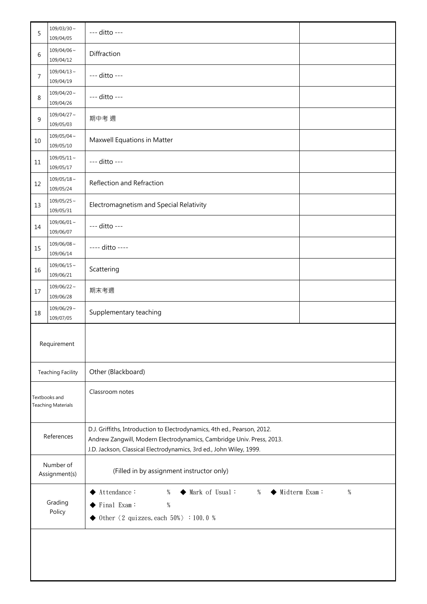| 5                                          | $109/03/30 \sim$<br>109/04/05 | --- ditto ---                                                                                                                                                                                                                             |  |  |
|--------------------------------------------|-------------------------------|-------------------------------------------------------------------------------------------------------------------------------------------------------------------------------------------------------------------------------------------|--|--|
| 6                                          | $109/04/06 \sim$<br>109/04/12 | Diffraction                                                                                                                                                                                                                               |  |  |
| 7                                          | $109/04/13 \sim$<br>109/04/19 | --- ditto ---                                                                                                                                                                                                                             |  |  |
| 8                                          | $109/04/20 \sim$<br>109/04/26 | --- ditto ---                                                                                                                                                                                                                             |  |  |
| 9                                          | $109/04/27 \sim$<br>109/05/03 | 期中考 週                                                                                                                                                                                                                                     |  |  |
| 10                                         | $109/05/04 \sim$<br>109/05/10 | Maxwell Equations in Matter                                                                                                                                                                                                               |  |  |
| 11                                         | $109/05/11 \sim$<br>109/05/17 | --- ditto ---                                                                                                                                                                                                                             |  |  |
| 12                                         | $109/05/18 \sim$<br>109/05/24 | Reflection and Refraction                                                                                                                                                                                                                 |  |  |
| 13                                         | $109/05/25 \sim$<br>109/05/31 | Electromagnetism and Special Relativity                                                                                                                                                                                                   |  |  |
| 14                                         | $109/06/01$ ~<br>109/06/07    | --- ditto ---                                                                                                                                                                                                                             |  |  |
| 15                                         | $109/06/08 \sim$<br>109/06/14 | ---- ditto ----                                                                                                                                                                                                                           |  |  |
| 16                                         | $109/06/15 \sim$<br>109/06/21 | Scattering                                                                                                                                                                                                                                |  |  |
| 17                                         | $109/06/22 \sim$<br>109/06/28 | 期末考週                                                                                                                                                                                                                                      |  |  |
| 18                                         | $109/06/29$ ~<br>109/07/05    | Supplementary teaching                                                                                                                                                                                                                    |  |  |
|                                            | Requirement                   |                                                                                                                                                                                                                                           |  |  |
| <b>Teaching Facility</b>                   |                               | Other (Blackboard)                                                                                                                                                                                                                        |  |  |
| Textbooks and<br><b>Teaching Materials</b> |                               | Classroom notes                                                                                                                                                                                                                           |  |  |
| References                                 |                               | D.J. Griffiths, Introduction to Electrodynamics, 4th ed., Pearson, 2012.<br>Andrew Zangwill, Modern Electrodynamics, Cambridge Univ. Press, 2013.<br>J.D. Jackson, Classical Electrodynamics, 3rd ed., John Wiley, 1999.                  |  |  |
| Number of<br>Assignment(s)                 |                               | (Filled in by assignment instructor only)                                                                                                                                                                                                 |  |  |
| Grading<br>Policy                          |                               | ◆ Mark of Usual:<br>Midterm Exam:<br>$\%$<br>$\blacktriangleright \text{Attendance :}$<br>$\%$<br>%<br>٠<br>$\blacktriangleright$ Final Exam:<br>$\%$<br>$\blacklozenge$ 0ther $\langle 2 \text{ quizzes, each } 50\% \rangle : 100.0 \%$ |  |  |
|                                            |                               |                                                                                                                                                                                                                                           |  |  |